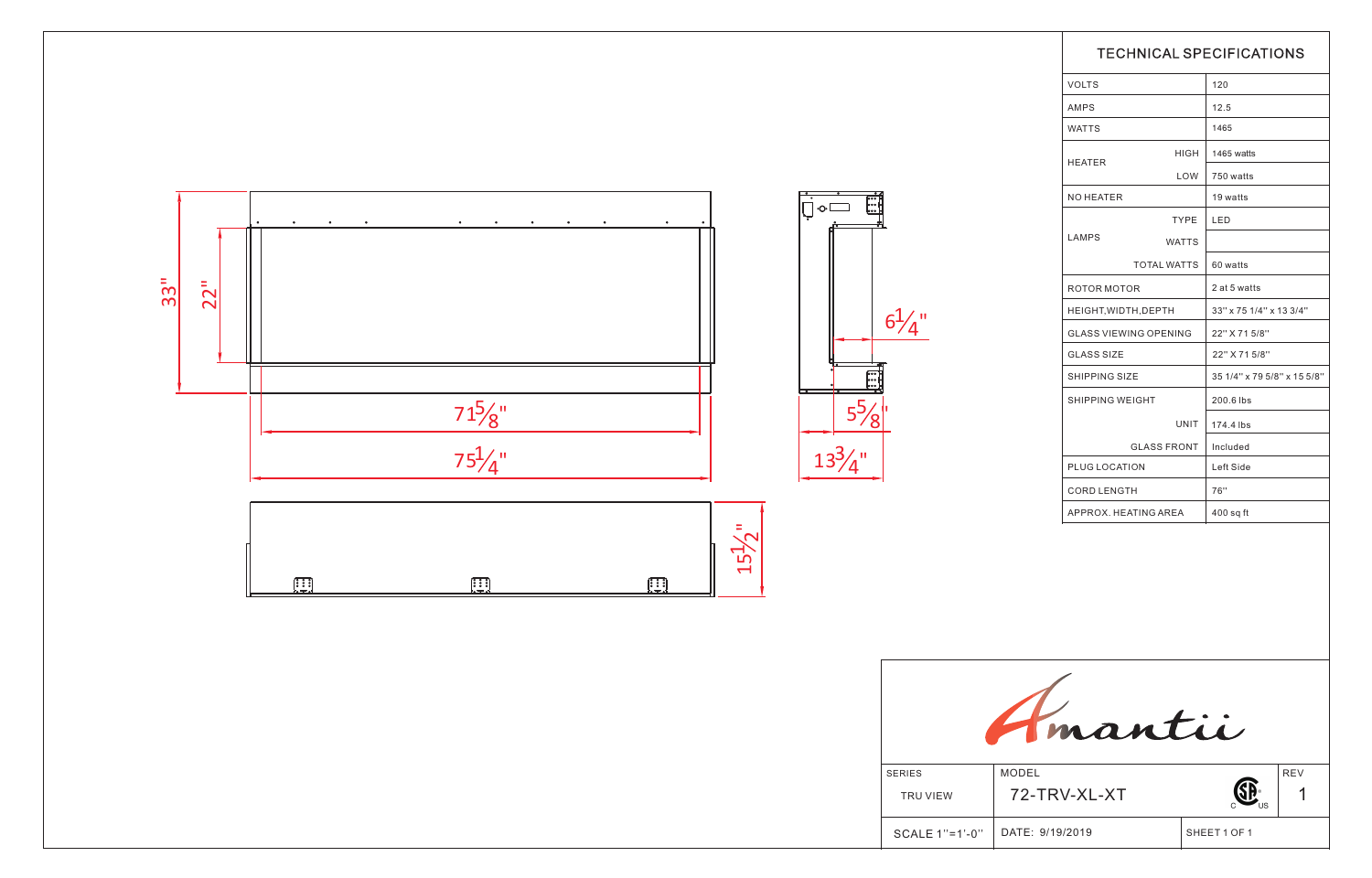|                           |                              | <b>TECHNICAL SPECIFICATIONS</b> |                             |  |  |  |  |
|---------------------------|------------------------------|---------------------------------|-----------------------------|--|--|--|--|
|                           | <b>VOLTS</b>                 |                                 | 120                         |  |  |  |  |
|                           | AMPS                         |                                 | 12.5                        |  |  |  |  |
|                           | <b>WATTS</b>                 |                                 | 1465                        |  |  |  |  |
|                           |                              | HIGH                            | 1465 watts                  |  |  |  |  |
| 自由                        | <b>HEATER</b>                | LOW                             | 750 watts                   |  |  |  |  |
|                           | NO HEATER                    |                                 | 19 watts                    |  |  |  |  |
|                           |                              | <b>TYPE</b>                     | LED                         |  |  |  |  |
|                           | LAMPS                        | <b>WATTS</b>                    |                             |  |  |  |  |
|                           | <b>TOTAL WATTS</b>           |                                 | 60 watts                    |  |  |  |  |
|                           | <b>ROTOR MOTOR</b>           |                                 | 2 at 5 watts                |  |  |  |  |
|                           | HEIGHT, WIDTH, DEPTH         |                                 | 33" x 75 1/4" x 13 3/4"     |  |  |  |  |
|                           | <b>GLASS VIEWING OPENING</b> |                                 | 22" X 71 5/8"               |  |  |  |  |
|                           | <b>GLASS SIZE</b>            |                                 | 22" X 71 5/8"               |  |  |  |  |
| i<br>String               | <b>SHIPPING SIZE</b>         |                                 | 35 1/4" x 79 5/8" x 15 5/8" |  |  |  |  |
|                           | SHIPPING WEIGHT              |                                 | 200.6 lbs                   |  |  |  |  |
|                           |                              | UNIT                            | 174.4 lbs                   |  |  |  |  |
|                           | <b>GLASS FRONT</b>           |                                 | Included                    |  |  |  |  |
|                           | PLUG LOCATION                |                                 | Left Side                   |  |  |  |  |
|                           | <b>CORD LENGTH</b>           |                                 | 76"                         |  |  |  |  |
|                           | APPROX. HEATING AREA         |                                 | $400$ sq ft                 |  |  |  |  |
|                           |                              |                                 |                             |  |  |  |  |
| mantii                    |                              |                                 |                             |  |  |  |  |
| <b>SERIES</b><br>TRU VIEW | <b>MODEL</b><br>72-TRV-XL-XT |                                 | <b>REV</b>                  |  |  |  |  |
| SCALE 1"=1'-0"            | DATE: 9/19/2019              |                                 | SHEET 1 OF 1                |  |  |  |  |

|               |                 | <b>TECHNICAL SPECIFICATIONS</b> |                    |                             |            |
|---------------|-----------------|---------------------------------|--------------------|-----------------------------|------------|
|               |                 | <b>VOLTS</b>                    |                    | 120                         |            |
|               | AMPS            |                                 |                    | 12.5                        |            |
|               |                 | <b>WATTS</b>                    |                    | 1465                        |            |
|               |                 |                                 | HIGH               | 1465 watts                  |            |
|               |                 | <b>HEATER</b>                   | LOW                | 750 watts                   |            |
|               |                 | NO HEATER                       |                    | 19 watts                    |            |
|               |                 |                                 | <b>TYPE</b>        | <b>LED</b>                  |            |
|               |                 | LAMPS                           | <b>WATTS</b>       |                             |            |
|               |                 |                                 | <b>TOTAL WATTS</b> | 60 watts                    |            |
|               |                 | ROTOR MOTOR                     |                    | 2 at 5 watts                |            |
| $/ \parallel$ |                 | HEIGHT, WIDTH, DEPTH            |                    | 33" x 75 1/4" x 13 3/4"     |            |
| 4             |                 | <b>GLASS VIEWING OPENING</b>    |                    | 22" X 71 5/8"               |            |
|               |                 | <b>GLASS SIZE</b>               |                    | 22" X 71 5/8"               |            |
|               |                 | SHIPPING SIZE                   |                    | 35 1/4" x 79 5/8" x 15 5/8" |            |
|               |                 | SHIPPING WEIGHT                 |                    | 200.6 lbs                   |            |
|               |                 |                                 | UNIT               | 174.4 lbs                   |            |
|               |                 |                                 | <b>GLASS FRONT</b> | Included                    |            |
|               |                 | PLUG LOCATION                   |                    | Left Side                   |            |
|               |                 | CORD LENGTH                     |                    | 76"                         |            |
|               |                 | APPROX. HEATING AREA            |                    | $400$ sq ft                 |            |
|               |                 |                                 |                    |                             |            |
|               |                 | mantii                          |                    |                             |            |
| IES           | <b>MODEL</b>    |                                 |                    |                             | <b>REV</b> |
| RU VIEW       | 72-TRV-XL-XT    |                                 |                    |                             | 1          |
| ALE 1"=1'-0"  | DATE: 9/19/2019 |                                 |                    | SHEET 1 OF 1                |            |